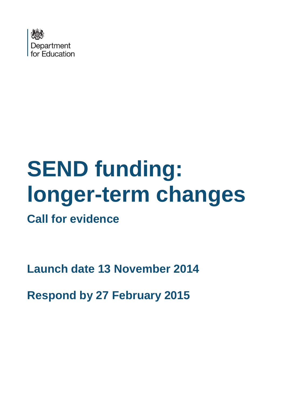

# **SEND funding: longer-term changes**

**Call for evidence**

**Launch date 13 November 2014**

**Respond by 27 February 2015**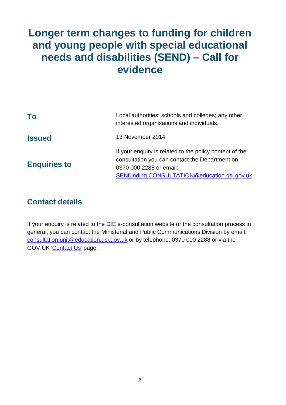# **Longer term changes to funding for children and young people with special educational needs and disabilities (SEND) – Call for evidence**

| To                  | Local authorities; schools and colleges; any other<br>interested organisations and individuals.                                                                                      |
|---------------------|--------------------------------------------------------------------------------------------------------------------------------------------------------------------------------------|
| <b>Issued</b>       | 13 November 2014                                                                                                                                                                     |
| <b>Enquiries to</b> | If your enquiry is related to the policy content of the<br>consultation you can contact the Department on<br>0370 000 2288 or email:<br>SENfunding.CONSULTATION@education.gsi.gov.uk |

# **Contact details**

If your enquiry is related to the DfE e-consultation website or the consultation process in general, you can contact the Ministerial and Public Communications Division by email: consultation.unit@education.gsi.gov.uk or by telephone: 0370 000 2288 or via the GOV.UK 'Contact Us' page.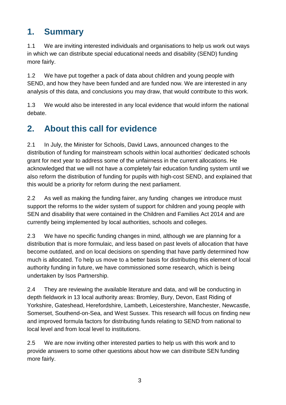# **1. Summary**

1.1 We are inviting interested individuals and organisations to help us work out ways in which we can distribute special educational needs and disability (SEND) funding more fairly.

1.2 We have put together a pack of data about children and young people with SEND, and how they have been funded and are funded now. We are interested in any analysis of this data, and conclusions you may draw, that would contribute to this work.

1.3 We would also be interested in any local evidence that would inform the national debate.

# **2. About this call for evidence**

2.1 In July, the Minister for Schools, David Laws, announced changes to the distribution of funding for mainstream schools within local authorities' dedicated schools grant for next year to address some of the unfairness in the current allocations. He acknowledged that we will not have a completely fair education funding system until we also reform the distribution of funding for pupils with high-cost SEND, and explained that this would be a priority for reform during the next parliament.

2.2 As well as making the funding fairer, any funding changes we introduce must support the reforms to the wider system of support for children and young people with SEN and disability that were contained in the Children and Families Act 2014 and are currently being implemented by local authorities, schools and colleges.

2.3 We have no specific funding changes in mind, although we are planning for a distribution that is more formulaic, and less based on past levels of allocation that have become outdated, and on local decisions on spending that have partly determined how much is allocated. To help us move to a better basis for distributing this element of local authority funding in future, we have commissioned some research, which is being undertaken by Isos Partnership.

2.4 They are reviewing the available literature and data, and will be conducting in depth fieldwork in 13 local authority areas: Bromley, Bury, Devon, East Riding of Yorkshire, Gateshead, Herefordshire, Lambeth, Leicestershire, Manchester, Newcastle, Somerset, Southend-on-Sea, and West Sussex. This research will focus on finding new and improved formula factors for distributing funds relating to SEND from national to local level and from local level to institutions.

2.5 We are now inviting other interested parties to help us with this work and to provide answers to some other questions about how we can distribute SEN funding more fairly.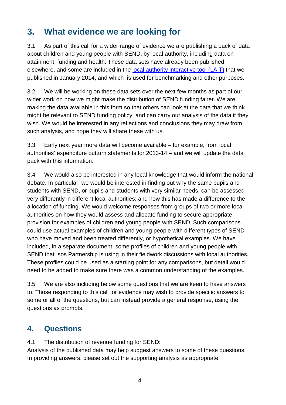# **3. What evidence we are looking for**

3.1 As part of this call for a wider range of evidence we are publishing a pack of data about children and young people with SEND, by local authority, including data on attainment, funding and health. These data sets have already been published elsewhere, and some are included in the local authority interactive tool (LAIT) that we published in January 2014, and which is used for benchmarking and other purposes.

3.2 We will be working on these data sets over the next few months as part of our wider work on how we might make the distribution of SEND funding fairer. We are making the data available in this form so that others can look at the data that we think might be relevant to SEND funding policy, and can carry out analysis of the data if they wish. We would be interested in any reflections and conclusions they may draw from such analysis, and hope they will share these with us.

3.3 Early next year more data will become available – for example, from local authorities' expenditure outturn statements for 2013-14 – and we will update the data pack with this information.

3.4 We would also be interested in any local knowledge that would inform the national debate. In particular, we would be interested in finding out why the same pupils and students with SEND, or pupils and students with very similar needs, can be assessed very differently in different local authorities; and how this has made a difference to the allocation of funding. We would welcome responses from groups of two or more local authorities on how they would assess and allocate funding to secure appropriate provision for examples of children and young people with SEND. Such comparisons could use actual examples of children and young people with different types of SEND who have moved and been treated differently, or hypothetical examples. We have included, in a separate document, some profiles of children and young people with SEND that Isos Partnership is using in their fieldwork discussions with local authorities. These profiles could be used as a starting point for any comparisons, but detail would need to be added to make sure there was a common understanding of the examples.

3.5 We are also including below some questions that we are keen to have answers to. Those responding to this call for evidence may wish to provide specific answers to some or all of the questions, but can instead provide a general response, using the questions as prompts.

# **4. Questions**

4.1 The distribution of revenue funding for SEND:

Analysis of the published data may help suggest answers to some of these questions. In providing answers, please set out the supporting analysis as appropriate.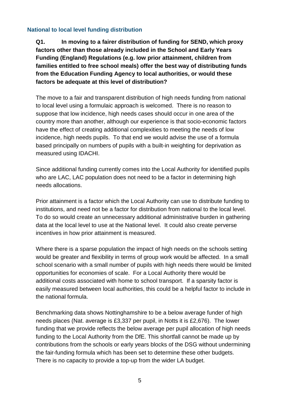#### **National to local level funding distribution**

**Q1. In moving to a fairer distribution of funding for SEND, which proxy factors other than those already included in the School and Early Years Funding (England) Regulations (e.g. low prior attainment, children from families entitled to free school meals) offer the best way of distributing funds from the Education Funding Agency to local authorities, or would these factors be adequate at this level of distribution?** 

The move to a fair and transparent distribution of high needs funding from national to local level using a formulaic approach is welcomed. There is no reason to suppose that low incidence, high needs cases should occur in one area of the country more than another, although our experience is that socio-economic factors have the effect of creating additional complexities to meeting the needs of low incidence, high needs pupils. To that end we would advise the use of a formula based principally on numbers of pupils with a built-in weighting for deprivation as measured using IDACHI.

Since additional funding currently comes into the Local Authority for identified pupils who are LAC, LAC population does not need to be a factor in determining high needs allocations.

Prior attainment is a factor which the Local Authority can use to distribute funding to institutions, and need not be a factor for distribution from national to the local level. To do so would create an unnecessary additional administrative burden in gathering data at the local level to use at the National level. It could also create perverse incentives in how prior attainment is measured.

Where there is a sparse population the impact of high needs on the schools setting would be greater and flexibility in terms of group work would be affected. In a small school scenario with a small number of pupils with high needs there would be limited opportunities for economies of scale. For a Local Authority there would be additional costs associated with home to school transport. If a sparsity factor is easily measured between local authorities, this could be a helpful factor to include in the national formula.

Benchmarking data shows Nottinghamshire to be a below average funder of high needs places (Nat. average is £3,337 per pupil, in Notts it is £2,676). The lower funding that we provide reflects the below average per pupil allocation of high needs funding to the Local Authority from the DfE. This shortfall cannot be made up by contributions from the schools or early years blocks of the DSG without undermining the fair-funding formula which has been set to determine these other budgets. There is no capacity to provide a top-up from the wider LA budget.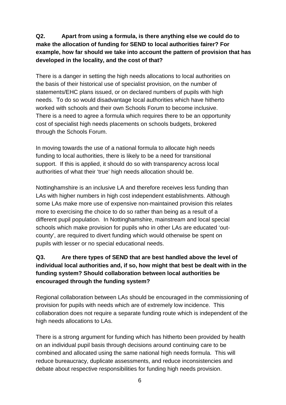## **Q2. Apart from using a formula, is there anything else we could do to make the allocation of funding for SEND to local authorities fairer? For example, how far should we take into account the pattern of provision that has developed in the locality, and the cost of that?**

There is a danger in setting the high needs allocations to local authorities on the basis of their historical use of specialist provision, on the number of statements/EHC plans issued, or on declared numbers of pupils with high needs. To do so would disadvantage local authorities which have hitherto worked with schools and their own Schools Forum to become inclusive. There is a need to agree a formula which requires there to be an opportunity cost of specialist high needs placements on schools budgets, brokered through the Schools Forum.

In moving towards the use of a national formula to allocate high needs funding to local authorities, there is likely to be a need for transitional support. If this is applied, it should do so with transparency across local authorities of what their 'true' high needs allocation should be.

Nottinghamshire is an inclusive LA and therefore receives less funding than LAs with higher numbers in high cost independent establishments. Although some LAs make more use of expensive non-maintained provision this relates more to exercising the choice to do so rather than being as a result of a different pupil population. In Nottinghamshire, mainstream and local special schools which make provision for pupils who in other LAs are educated 'outcounty', are required to divert funding which would otherwise be spent on pupils with lesser or no special educational needs.

# **Q3. Are there types of SEND that are best handled above the level of individual local authorities and, if so, how might that best be dealt with in the funding system? Should collaboration between local authorities be encouraged through the funding system?**

Regional collaboration between LAs should be encouraged in the commissioning of provision for pupils with needs which are of extremely low incidence. This collaboration does not require a separate funding route which is independent of the high needs allocations to LAs.

There is a strong argument for funding which has hitherto been provided by health on an individual pupil basis through decisions around continuing care to be combined and allocated using the same national high needs formula. This will reduce bureaucracy, duplicate assessments, and reduce inconsistencies and debate about respective responsibilities for funding high needs provision.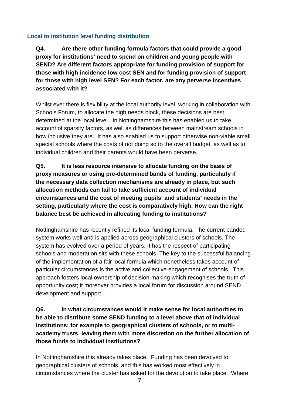#### **Local to institution level funding distribution**

**Q4. Are there other funding formula factors that could provide a good proxy for institutions' need to spend on children and young people with SEND? Are different factors appropriate for funding provision of support for those with high incidence low cost SEN and for funding provision of support for those with high level SEN? For each factor, are any perverse incentives associated with it?** 

Whilst ever there is flexibility at the local authority level, working in collaboration with Schools Forum, to allocate the high needs block, these decisions are best determined at the local level. In Nottinghamshire this has enabled us to take account of sparsity factors, as well as differences between mainstream schools in how inclusive they are. It has also enabled us to support otherwise non-viable small special schools where the costs of not doing so to the overall budget, as well as to individual children and their parents would have been perverse.

**Q5. It is less resource intensive to allocate funding on the basis of proxy measures or using pre-determined bands of funding, particularly if the necessary data collection mechanisms are already in place, but such allocation methods can fail to take sufficient account of individual circumstances and the cost of meeting pupils' and students' needs in the setting, particularly where the cost is comparatively high. How can the right balance best be achieved in allocating funding to institutions?** 

Nottinghamshire has recently refined its local funding formula. The current banded system works well and is applied across geographical clusters of schools. The system has evolved over a period of years. It has the respect of participating schools and moderation sits with these schools. The key to the successful balancing of the implementation of a fair local formula which nonetheless takes account of particular circumstances is the active and collective engagement of schools. This approach fosters local ownership of decision-making which recognises the truth of opportunity cost; it moreover provides a local forum for discussion around SEND development and support.

**Q6. In what circumstances would it make sense for local authorities to be able to distribute some SEND funding to a level above that of individual institutions: for example to geographical clusters of schools, or to multiacademy trusts, leaving them with more discretion on the further allocation of those funds to individual institutions?** 

In Nottinghamshire this already takes place. Funding has been devolved to geographical clusters of schools, and this has worked most effectively in circumstances where the cluster has asked for the devolution to take place. Where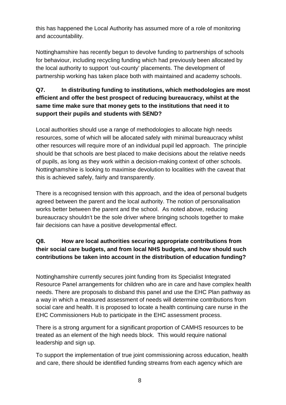this has happened the Local Authority has assumed more of a role of monitoring and accountability.

Nottinghamshire has recently begun to devolve funding to partnerships of schools for behaviour, including recycling funding which had previously been allocated by the local authority to support 'out-county' placements. The development of partnership working has taken place both with maintained and academy schools.

## **Q7. In distributing funding to institutions, which methodologies are most efficient and offer the best prospect of reducing bureaucracy, whilst at the same time make sure that money gets to the institutions that need it to support their pupils and students with SEND?**

Local authorities should use a range of methodologies to allocate high needs resources, some of which will be allocated safely with minimal bureaucracy whilst other resources will require more of an individual pupil led approach. The principle should be that schools are best placed to make decisions about the relative needs of pupils, as long as they work within a decision-making context of other schools. Nottinghamshire is looking to maximise devolution to localities with the caveat that this is achieved safely, fairly and transparently.

There is a recognised tension with this approach, and the idea of personal budgets agreed between the parent and the local authority. The notion of personalisation works better between the parent and the school. As noted above, reducing bureaucracy shouldn't be the sole driver where bringing schools together to make fair decisions can have a positive developmental effect.

# **Q8. How are local authorities securing appropriate contributions from their social care budgets, and from local NHS budgets, and how should such contributions be taken into account in the distribution of education funding?**

Nottinghamshire currently secures joint funding from its Specialist Integrated Resource Panel arrangements for children who are in care and have complex health needs. There are proposals to disband this panel and use the EHC Plan pathway as a way in which a measured assessment of needs will determine contributions from social care and health. It is proposed to locate a health continuing care nurse in the EHC Commissioners Hub to participate in the EHC assessment process.

There is a strong argument for a significant proportion of CAMHS resources to be treated as an element of the high needs block. This would require national leadership and sign up.

To support the implementation of true joint commissioning across education, health and care, there should be identified funding streams from each agency which are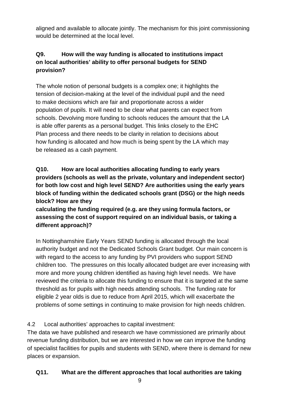aligned and available to allocate jointly. The mechanism for this joint commissioning would be determined at the local level.

# **Q9. How will the way funding is allocated to institutions impact on local authorities' ability to offer personal budgets for SEND provision?**

The whole notion of personal budgets is a complex one; it highlights the tension of decision-making at the level of the individual pupil and the need to make decisions which are fair and proportionate across a wider population of pupils. It will need to be clear what parents can expect from schools. Devolving more funding to schools reduces the amount that the LA is able offer parents as a personal budget. This links closely to the EHC Plan process and there needs to be clarity in relation to decisions about how funding is allocated and how much is being spent by the LA which may be released as a cash payment.

# **Q10. How are local authorities allocating funding to early years providers (schools as well as the private, voluntary and independent sector) for both low cost and high level SEND? Are authorities using the early years block of funding within the dedicated schools grant (DSG) or the high needs block? How are they**

## **calculating the funding required (e.g. are they using formula factors, or assessing the cost of support required on an individual basis, or taking a different approach)?**

In Nottinghamshire Early Years SEND funding is allocated through the local authority budget and not the Dedicated Schools Grant budget. Our main concern is with regard to the access to any funding by PVI providers who support SEND children too. The pressures on this locally allocated budget are ever increasing with more and more young children identified as having high level needs. We have reviewed the criteria to allocate this funding to ensure that it is targeted at the same threshold as for pupils with high needs attending schools. The funding rate for eligible 2 year olds is due to reduce from April 2015, which will exacerbate the problems of some settings in continuing to make provision for high needs children.

# 4.2 Local authorities' approaches to capital investment:

The data we have published and research we have commissioned are primarily about revenue funding distribution, but we are interested in how we can improve the funding of specialist facilities for pupils and students with SEND, where there is demand for new places or expansion.

# **Q11. What are the different approaches that local authorities are taking**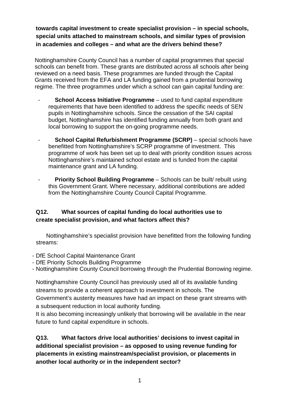**towards capital investment to create specialist provision – in special schools, special units attached to mainstream schools, and similar types of provision in academies and colleges – and what are the drivers behind these?** 

Nottinghamshire County Council has a number of capital programmes that special schools can benefit from. These grants are distributed across all schools after being reviewed on a need basis. These programmes are funded through the Capital Grants received from the EFA and LA funding gained from a prudential borrowing regime. The three programmes under which a school can gain capital funding are:

- **School Access Initiative Programme** used to fund capital expenditure requirements that have been identified to address the specific needs of SEN pupils in Nottinghamshire schools. Since the cessation of the SAI capital budget, Nottinghamshire has identified funding annually from both grant and local borrowing to support the on-going programme needs.
- **School Capital Refurbishment Programme (SCRP)** special schools have benefitted from Nottinghamshire's SCRP programme of investment. This programme of work has been set up to deal with priority condition issues across Nottinghamshire's maintained school estate and is funded from the capital maintenance grant and LA funding.
- **Priority School Building Programme** Schools can be built/ rebuilt using this Government Grant. Where necessary, additional contributions are added from the Nottinghamshire County Council Capital Programme.

#### **Q12. What sources of capital funding do local authorities use to create specialist provision, and what factors affect this?**

Nottinghamshire's specialist provision have benefitted from the following funding streams:

- DfE School Capital Maintenance Grant
- DfE Priority Schools Building Programme
- Nottinghamshire County Council borrowing through the Prudential Borrowing regime.

Nottinghamshire County Council has previously used all of its available funding streams to provide a coherent approach to investment in schools. The Government's austerity measures have had an impact on these grant streams with a subsequent reduction in local authority funding.

It is also becoming increasingly unlikely that borrowing will be available in the near future to fund capital expenditure in schools.

**Q13. What factors drive local authorities' decisions to invest capital in additional specialist provision – as opposed to using revenue funding for placements in existing mainstream/specialist provision, or placements in another local authority or in the independent sector?**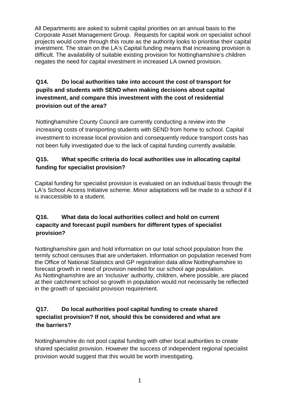All Departments are asked to submit capital priorities on an annual basis to the Corporate Asset Management Group. Requests for capital work on specialist school projects would come through this route as the authority looks to prioritise their capital investment. The strain on the LA's Capital funding means that increasing provision is difficult. The availability of suitable existing provision for Nottinghamshire's children negates the need for capital investment in increased LA owned provision.

#### **Q14. Do local authorities take into account the cost of transport for pupils and students with SEND when making decisions about capital investment, and compare this investment with the cost of residential provision out of the area?**

Nottinghamshire County Council are currently conducting a review into the increasing costs of transporting students with SEND from home to school. Capital investment to increase local provision and consequently reduce transport costs has not been fully investigated due to the lack of capital funding currently available.

## **Q15. What specific criteria do local authorities use in allocating capital funding for specialist provision?**

Capital funding for specialist provision is evaluated on an individual basis through the LA's School Access Initiative scheme. Minor adaptations will be made to a school if it is inaccessible to a student.

# **Q16. What data do local authorities collect and hold on current capacity and forecast pupil numbers for different types of specialist provision?**

Nottinghamshire gain and hold information on our total school population from the termly school censuses that are undertaken. Information on population received from the Office of National Statistics and GP registration data allow Nottinghamshire to forecast growth in need of provision needed for our school age population. As Nottinghamshire are an 'inclusive' authority, children, where possible, are placed at their catchment school so growth in population would not necessarily be reflected in the growth of specialist provision requirement.

## **Q17. Do local authorities pool capital funding to create shared specialist provision? If not, should this be considered and what are the barriers?**

Nottinghamshire do not pool capital funding with other local authorities to create shared specialist provision. However the success of independent regional specialist provision would suggest that this would be worth investigating.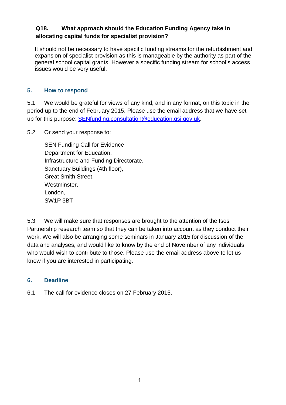#### **Q18. What approach should the Education Funding Agency take in allocating capital funds for specialist provision?**

It should not be necessary to have specific funding streams for the refurbishment and expansion of specialist provision as this is manageable by the authority as part of the general school capital grants. However a specific funding stream for school's access issues would be very useful.

#### **5. How to respond**

5.1 We would be grateful for views of any kind, and in any format, on this topic in the period up to the end of February 2015. Please use the email address that we have set up for this purpose: SENfunding.consultation@education.gsi.gov.uk.

5.2 Or send your response to:

SEN Funding Call for Evidence Department for Education, Infrastructure and Funding Directorate, Sanctuary Buildings (4th floor), Great Smith Street, Westminster, London, SW1P 3BT

5.3 We will make sure that responses are brought to the attention of the Isos Partnership research team so that they can be taken into account as they conduct their work. We will also be arranging some seminars in January 2015 for discussion of the data and analyses, and would like to know by the end of November of any individuals who would wish to contribute to those. Please use the email address above to let us know if you are interested in participating.

#### **6. Deadline**

6.1 The call for evidence closes on 27 February 2015.